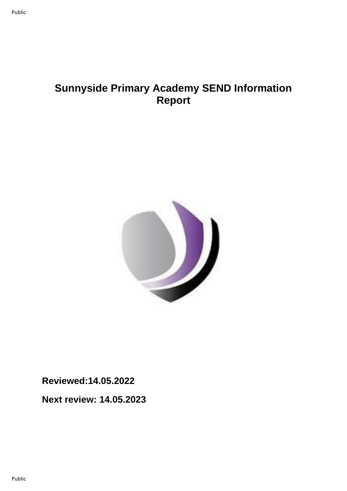# **Sunnyside Primary Academy SEND Information Report**



**Reviewed:14.05.2022**

**Next review: 14.05.2023**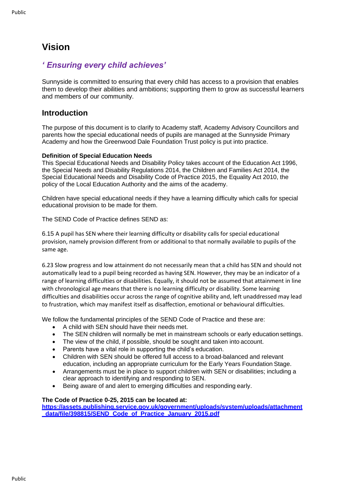# **Vision**

### *' Ensuring every child achieves'*

Sunnyside is committed to ensuring that every child has access to a provision that enables them to develop their abilities and ambitions; supporting them to grow as successful learners and members of our community.

### **Introduction**

The purpose of this document is to clarify to Academy staff, Academy Advisory Councillors and parents how the special educational needs of pupils are managed at the Sunnyside Primary Academy and how the Greenwood Dale Foundation Trust policy is put into practice.

#### **Definition of Special Education Needs**

This Special Educational Needs and Disability Policy takes account of the Education Act 1996, the Special Needs and Disability Regulations 2014, the Children and Families Act 2014, the Special Educational Needs and Disability Code of Practice 2015, the Equality Act 2010, the policy of the Local Education Authority and the aims of the academy.

Children have special educational needs if they have a learning difficulty which calls for special educational provision to be made for them.

The SEND Code of Practice defines SEND as:

6.15 A pupil has SEN where their learning difficulty or disability calls for special educational provision, namely provision different from or additional to that normally available to pupils of the same age.

6.23 Slow progress and low attainment do not necessarily mean that a child has SEN and should not automatically lead to a pupil being recorded as having SEN. However, they may be an indicator of a range of learning difficulties or disabilities. Equally, it should not be assumed that attainment in line with chronological age means that there is no learning difficulty or disability. Some learning difficulties and disabilities occur across the range of cognitive ability and, left unaddressed may lead to frustration, which may manifest itself as disaffection, emotional or behavioural difficulties.

We follow the fundamental principles of the SEND Code of Practice and these are:

- A child with SEN should have their needs met.
- The SEN children will normally be met in mainstream schools or early education settings.
- The view of the child, if possible, should be sought and taken into account.
- Parents have a vital role in supporting the child's education.
- Children with SEN should be offered full access to a broad-balanced and relevant education, including an appropriate curriculum for the Early Years Foundation Stage.
- Arrangements must be in place to support children with SEN or disabilities; including a clear approach to identifying and responding to SEN.
- Being aware of and alert to emerging difficulties and responding early.

**The Code of Practice 0-25, 2015 can be located at:** 

**[https://assets.publishing.service.gov.uk/government/uploads/system/uploads/attachment](https://assets.publishing.service.gov.uk/government/uploads/system/uploads/attachment_data/file/398815/SEND_Code_of_Practice_January_2015.pdf) [\\_data/file/398815/SEND\\_Code\\_of\\_Practice\\_January\\_2015.pdf](https://assets.publishing.service.gov.uk/government/uploads/system/uploads/attachment_data/file/398815/SEND_Code_of_Practice_January_2015.pdf)**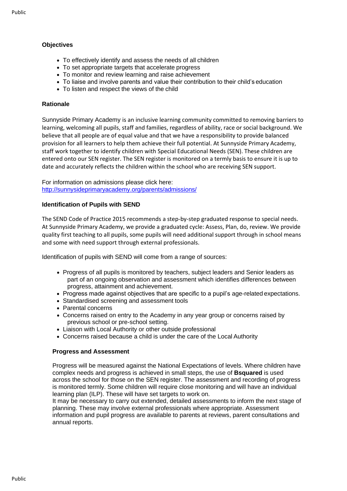#### **Objectives**

- To effectively identify and assess the needs of all children
- To set appropriate targets that accelerate progress
- To monitor and review learning and raise achievement
- To liaise and involve parents and value their contribution to their child's education
- To listen and respect the views of the child

#### **Rationale**

Sunnyside Primary Academy is an inclusive learning community committed to removing barriers to learning, welcoming all pupils, staff and families, regardless of ability, race or social background. We believe that all people are of equal value and that we have a responsibility to provide balanced provision for all learners to help them achieve their full potential. At Sunnyside Primary Academy, staff work together to identify children with Special Educational Needs (SEN). These children are entered onto our SEN register. The SEN register is monitored on a termly basis to ensure it is up to date and accurately reflects the children within the school who are receiving SEN support.

For information on admissions please click here: <http://sunnysideprimaryacademy.org/parents/admissions/>

#### **Identification of Pupils with SEND**

The SEND Code of Practice 2015 recommends a step-by-step graduated response to special needs. At Sunnyside Primary Academy, we provide a graduated cycle: Assess, Plan, do, review. We provide quality first teaching to all pupils, some pupils will need additional support through in school means and some with need support through external professionals.

Identification of pupils with SEND will come from a range of sources:

- Progress of all pupils is monitored by teachers, subject leaders and Senior leaders as part of an ongoing observation and assessment which identifies differences between progress, attainment and achievement.
- Progress made against objectives that are specific to a pupil's age-related expectations.
- Standardised screening and assessment tools
- Parental concerns
- Concerns raised on entry to the Academy in any year group or concerns raised by previous school or pre-school setting.
- Liaison with Local Authority or other outside professional
- Concerns raised because a child is under the care of the Local Authority

#### **Progress and Assessment**

Progress will be measured against the National Expectations of levels. Where children have complex needs and progress is achieved in small steps, the use of **Bsquared** is used across the school for those on the SEN register. The assessment and recording of progress is monitored termly. Some children will require close monitoring and will have an individual learning plan (ILP). These will have set targets to work on.

It may be necessary to carry out extended, detailed assessments to inform the next stage of planning. These may involve external professionals where appropriate. Assessment information and pupil progress are available to parents at reviews, parent consultations and annual reports.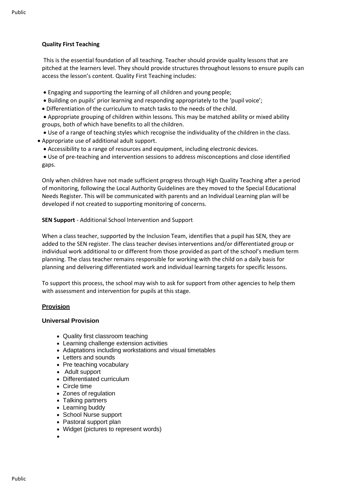#### **Quality First Teaching**

This is the essential foundation of all teaching. Teacher should provide quality lessons that are pitched at the learners level. They should provide structures throughout lessons to ensure pupils can access the lesson's content. Quality First Teaching includes:

- Engaging and supporting the learning of all children and young people;
- Building on pupils' prior learning and responding appropriately to the 'pupil voice';
- Differentiation of the curriculum to match tasks to the needs of the child.
- Appropriate grouping of children within lessons. This may be matched ability or mixed ability groups, both of which have benefits to all the children.
- Use of a range of teaching styles which recognise the individuality of the children in the class. • Appropriate use of additional adult support.
	- Accessibility to a range of resources and equipment, including electronic devices.

• Use of pre-teaching and intervention sessions to address misconceptions and close identified gaps.

Only when children have not made sufficient progress through High Quality Teaching after a period of monitoring, following the Local Authority Guidelines are they moved to the Special Educational Needs Register. This will be communicated with parents and an Individual Learning plan will be developed if not created to supporting monitoring of concerns.

#### **SEN Support** - Additional School Intervention and Support

When a class teacher, supported by the Inclusion Team, identifies that a pupil has SEN, they are added to the SEN register. The class teacher devises interventions and/or differentiated group or individual work additional to or different from those provided as part of the school's medium term planning. The class teacher remains responsible for working with the child on a daily basis for planning and delivering differentiated work and individual learning targets for specific lessons.

To support this process, the school may wish to ask for support from other agencies to help them with assessment and intervention for pupils at this stage.

#### **Provision**

#### **Universal Provision**

- Quality first classroom teaching
- Learning challenge extension activities
- Adaptations including workstations and visual timetables
- Letters and sounds
- Pre teaching vocabulary
- Adult support
- Differentiated curriculum
- Circle time
- Zones of regulation
- Talking partners
- Learning buddy
- School Nurse support
- Pastoral support plan
- Widget (pictures to represent words)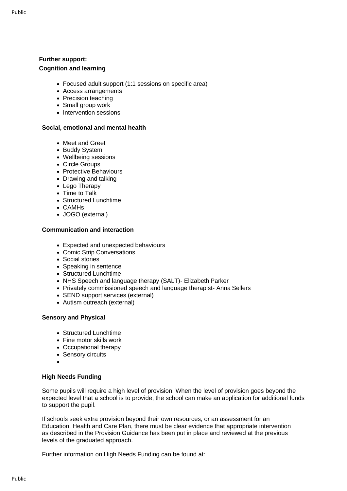#### **Further support:**

#### **Cognition and learning**

- Focused adult support (1:1 sessions on specific area)
- Access arrangements
- Precision teaching
- Small group work
- Intervention sessions

#### **Social, emotional and mental health**

- Meet and Greet
- Buddy System
- Wellbeing sessions
- Circle Groups
- Protective Behaviours
- Drawing and talking
- Lego Therapy
- Time to Talk
- Structured Lunchtime
- CAMHs
- JOGO (external)

#### **Communication and interaction**

- Expected and unexpected behaviours
- Comic Strip Conversations
- Social stories
- Speaking in sentence
- Structured Lunchtime
- NHS Speech and language therapy (SALT)- Elizabeth Parker
- Privately commissioned speech and language therapist- Anna Sellers
- SEND support services (external)
- Autism outreach (external)

#### **Sensory and Physical**

- Structured Lunchtime
- Fine motor skills work
- Occupational therapy
- Sensory circuits
- •

#### **High Needs Funding**

Some pupils will require a high level of provision. When the level of provision goes beyond the expected level that a school is to provide, the school can make an application for additional funds to support the pupil.

If schools seek extra provision beyond their own resources, or an assessment for an Education, Health and Care Plan, there must be clear evidence that appropriate intervention as described in the Provision Guidance has been put in place and reviewed at the previous levels of the graduated approach.

Further information on High Needs Funding can be found at: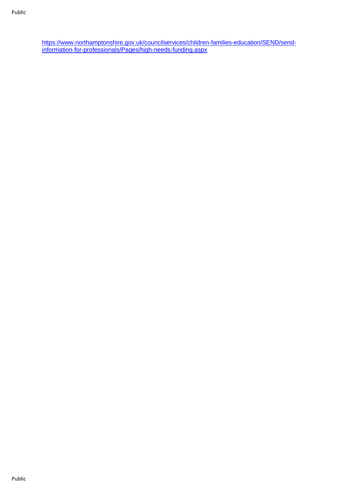[https://www.northamptonshire.gov.uk/councilservices/children-families-education/SEND/send](https://www.northamptonshire.gov.uk/councilservices/children-families-education/SEND/send-information-for-professionals/Pages/high-needs-funding.aspx)[information-for-professionals/Pages/high-needs-funding.aspx](https://www.northamptonshire.gov.uk/councilservices/children-families-education/SEND/send-information-for-professionals/Pages/high-needs-funding.aspx)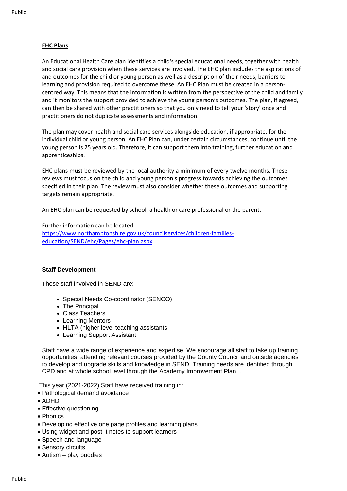#### **EHC Plans**

An Educational Health Care plan identifies a child's special educational needs, together with health and social care provision when these services are involved. The EHC plan includes the aspirations of and outcomes for the child or young person as well as a description of their needs, barriers to learning and provision required to overcome these. An EHC Plan must be created in a personcentred way. This means that the information is written from the perspective of the child and family and it monitors the support provided to achieve the young person's outcomes. The plan, if agreed, can then be shared with other practitioners so that you only need to tell your 'story' once and practitioners do not duplicate assessments and information.

The plan may cover health and social care services alongside education, if appropriate, for the individual child or young person. An EHC Plan can, under certain circumstances, continue until the young person is 25 years old. Therefore, it can support them into training, further education and apprenticeships.

EHC plans must be reviewed by the local authority a minimum of every twelve months. These reviews must focus on the child and young person's progress towards achieving the outcomes specified in their plan. The review must also consider whether these outcomes and supporting targets remain appropriate.

An EHC plan can be requested by school, a health or care professional or the parent.

Further information can be located: [https://www.northamptonshire.gov.uk/councilservices/children-families](https://www.northamptonshire.gov.uk/councilservices/children-families-education/SEND/ehc/Pages/ehc-plan.aspx)[education/SEND/ehc/Pages/ehc-plan.aspx](https://www.northamptonshire.gov.uk/councilservices/children-families-education/SEND/ehc/Pages/ehc-plan.aspx)

#### **Staff Development**

Those staff involved in SEND are:

- Special Needs Co-coordinator (SENCO)
- The Principal
- Class Teachers
- Learning Mentors
- HLTA (higher level teaching assistants
- Learning Support Assistant

Staff have a wide range of experience and expertise. We encourage all staff to take up training opportunities, attending relevant courses provided by the County Council and outside agencies to develop and upgrade skills and knowledge in SEND. Training needs are identified through CPD and at whole school level through the Academy Improvement Plan. .

This year (2021-2022) Staff have received training in:

- Pathological demand avoidance
- ADHD
- Effective questioning
- Phonics
- Developing effective one page profiles and learning plans
- Using widget and post-it notes to support learners
- Speech and language
- Sensory circuits
- Autism play buddies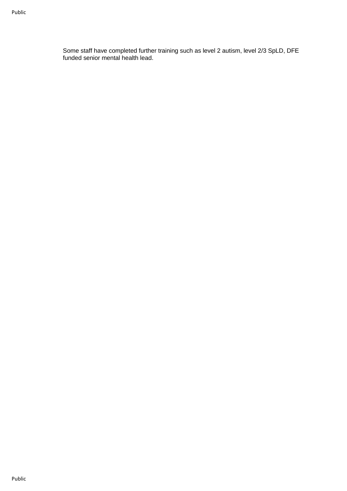Some staff have completed further training such as level 2 autism, level 2/3 SpLD, DFE funded senior mental health lead.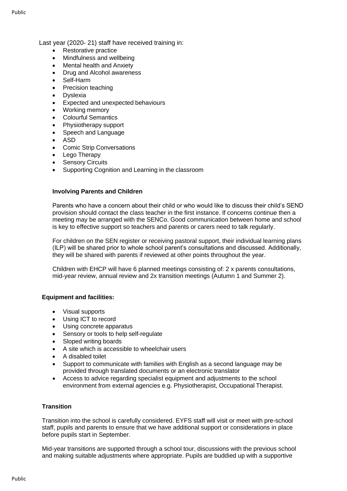- Restorative practice
- Mindfulness and wellbeing
- Mental health and Anxiety
- Drug and Alcohol awareness
- Self-Harm
- Precision teaching
- Dyslexia
- Expected and unexpected behaviours
- Working memory
- Colourful Semantics
- Physiotherapy support
- Speech and Language
- ASD
- Comic Strip Conversations
- Lego Therapy
- **Sensory Circuits**
- Supporting Cognition and Learning in the classroom

#### **Involving Parents and Children**

Parents who have a concern about their child or who would like to discuss their child's SEND provision should contact the class teacher in the first instance. If concerns continue then a meeting may be arranged with the SENCo. Good communication between home and school is key to effective support so teachers and parents or carers need to talk regularly.

For children on the SEN register or receiving pastoral support, their individual learning plans (ILP) will be shared prior to whole school parent's consultations and discussed. Additionally, they will be shared with parents if reviewed at other points throughout the year.

Children with EHCP will have 6 planned meetings consisting of: 2 x parents consultations, mid-year review, annual review and 2x transition meetings (Autumn 1 and Summer 2).

#### **Equipment and facilities:**

- Visual supports
- Using ICT to record
- Using concrete apparatus
- Sensory or tools to help self-regulate
- Sloped writing boards
- A site which is accessible to wheelchair users
- A disabled toilet
- Support to communicate with families with English as a second language may be provided through translated documents or an electronic translator
- Access to advice regarding specialist equipment and adjustments to the school environment from external agencies e.g. Physiotherapist, Occupational Therapist.

#### **Transition**

Transition into the school is carefully considered. EYFS staff will visit or meet with pre-school staff, pupils and parents to ensure that we have additional support or considerations in place before pupils start in September.

Mid-year transitions are supported through a school tour, discussions with the previous school and making suitable adjustments where appropriate. Pupils are buddied up with a supportive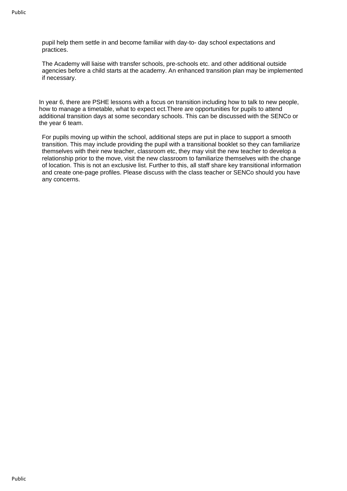pupil help them settle in and become familiar with day-to- day school expectations and practices.

The Academy will liaise with transfer schools, pre-schools etc. and other additional outside agencies before a child starts at the academy. An enhanced transition plan may be implemented if necessary.

In year 6, there are PSHE lessons with a focus on transition including how to talk to new people, how to manage a timetable, what to expect ect.There are opportunities for pupils to attend additional transition days at some secondary schools. This can be discussed with the SENCo or the year 6 team.

For pupils moving up within the school, additional steps are put in place to support a smooth transition. This may include providing the pupil with a transitional booklet so they can familiarize themselves with their new teacher, classroom etc, they may visit the new teacher to develop a relationship prior to the move, visit the new classroom to familiarize themselves with the change of location. This is not an exclusive list. Further to this, all staff share key transitional information and create one-page profiles. Please discuss with the class teacher or SENCo should you have any concerns.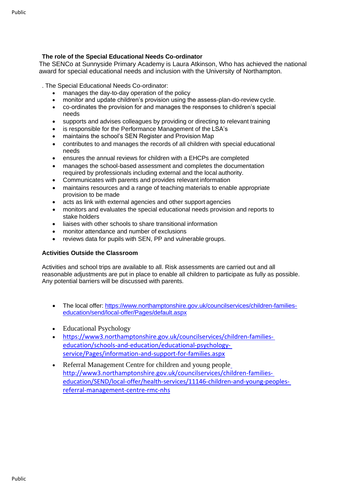#### **The role of the Special Educational Needs Co-ordinator**

The SENCo at Sunnyside Primary Academy is Laura Atkinson, Who has achieved the national award for special educational needs and inclusion with the University of Northampton.

. The Special Educational Needs Co-ordinator:

- manages the day-to-day operation of the policy<br>• monitor and update children's provision using the
- monitor and update children's provision using the assess-plan-do-review cycle.
- co-ordinates the provision for and manages the responses to children's special needs
- supports and advises colleagues by providing or directing to relevant training
- is responsible for the Performance Management of the LSA's
- maintains the school's SEN Register and Provision Map
- contributes to and manages the records of all children with special educational needs
- ensures the annual reviews for children with a EHCPs are completed
- manages the school-based assessment and completes the documentation required by professionals including external and the local authority.
- Communicates with parents and provides relevant information
- maintains resources and a range of teaching materials to enable appropriate provision to be made
- acts as link with external agencies and other support agencies
- monitors and evaluates the special educational needs provision and reports to stake holders
- liaises with other schools to share transitional information
- monitor attendance and number of exclusions
- reviews data for pupils with SEN, PP and vulnerable groups.

#### **Activities Outside the Classroom**

Activities and school trips are available to all. Risk assessments are carried out and all reasonable adjustments are put in place to enable all children to participate as fully as possible. Any potential barriers will be discussed with parents.

- The local offer: [https://www.northamptonshire.gov.uk/councilservices/children-families](https://www.northamptonshire.gov.uk/councilservices/children-families-education/send/local-offer/Pages/default.aspx)[education/send/local-offer/Pages/default.aspx](https://www.northamptonshire.gov.uk/councilservices/children-families-education/send/local-offer/Pages/default.aspx)
- Educational Psychology
- [https://www3.northamptonshire.gov.uk/councilservices/children-families](https://www3.northamptonshire.gov.uk/councilservices/children-families-education/schools-and-education/educational-psychology-service/Pages/information-and-support-for-families.aspx)[education/schools-and-education/educational-psychology](https://www3.northamptonshire.gov.uk/councilservices/children-families-education/schools-and-education/educational-psychology-service/Pages/information-and-support-for-families.aspx)[service/Pages/information-and-support-for-families.aspx](https://www3.northamptonshire.gov.uk/councilservices/children-families-education/schools-and-education/educational-psychology-service/Pages/information-and-support-for-families.aspx)
- R[e](http://www3.northamptonshire.gov.uk/councilservices/children-families-education/SEND/local-offer/health-services/11146-children-and-young-peoples-referral-management-centre-rmc-nhs)ferral Management Centre for children and young people [http://www3.northamptonshire.gov.uk/councilservices/children-families](http://www3.northamptonshire.gov.uk/councilservices/children-families-education/SEND/local-offer/health-services/11146-children-and-young-peoples-referral-management-centre-rmc-nhs)[education/SEND/local-offer/health-services/11146-children-and-young-peoples](http://www3.northamptonshire.gov.uk/councilservices/children-families-education/SEND/local-offer/health-services/11146-children-and-young-peoples-referral-management-centre-rmc-nhs)[referral-management-centre-rmc-nhs](http://www3.northamptonshire.gov.uk/councilservices/children-families-education/SEND/local-offer/health-services/11146-children-and-young-peoples-referral-management-centre-rmc-nhs)